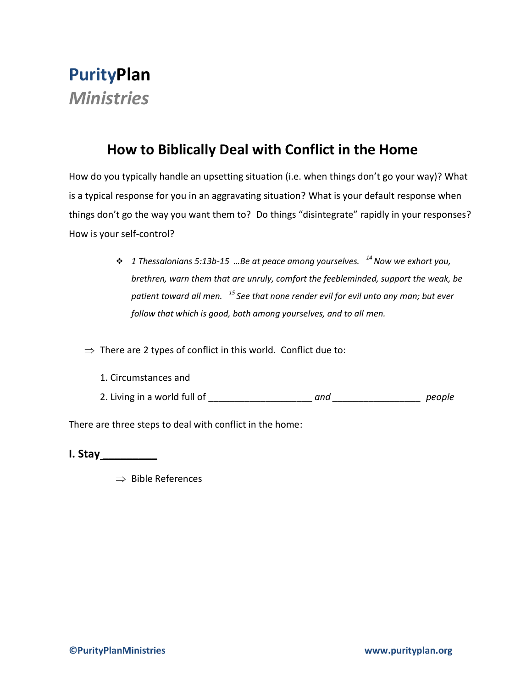## **PurityPlan** *Ministries*

## **How to Biblically Deal with Conflict in the Home**

How do you typically handle an upsetting situation (i.e. when things don't go your way)? What is a typical response for you in an aggravating situation? What is your default response when things don't go the way you want them to? Do things "disintegrate" rapidly in your responses? How is your self-control?

> *1 Thessalonians 5:13b-15 …Be at peace among yourselves. <sup>14</sup>Now we exhort you, brethren, warn them that are unruly, comfort the feebleminded, support the weak, be patient toward all men. <sup>15</sup>See that none render evil for evil unto any man; but ever follow that which is good, both among yourselves, and to all men.*

 $\Rightarrow$  There are 2 types of conflict in this world. Conflict due to:

- 1. Circumstances and
- 2. Living in a world full of the same of the same of the same of the same of the same of the same of the same of the same of the same of the same of the same of the same of the same of the same of the same of the same of t

There are three steps to deal with conflict in the home:

**I. Stay \_\_\_\_\_\_\_\_\_**

 $\Rightarrow$  Bible References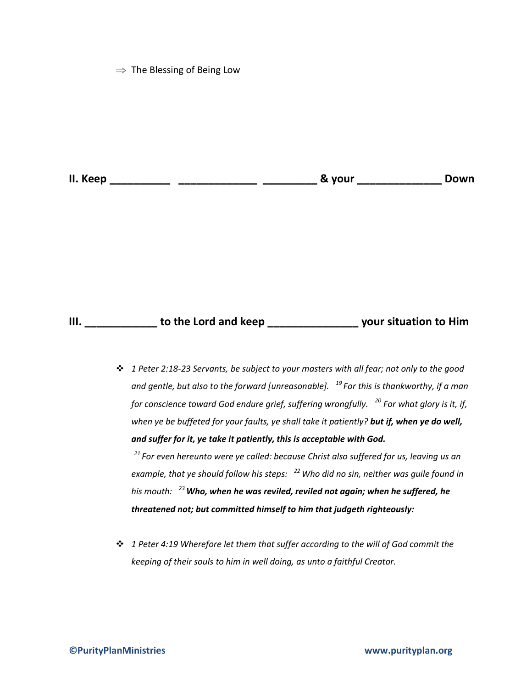$\Rightarrow$  The Blessing of Being Low

**II. Keep \_\_\_\_\_\_\_\_\_\_ \_\_\_\_\_\_\_\_\_\_\_\_\_ \_\_\_\_\_\_\_\_\_ & your \_\_\_\_\_\_\_\_\_\_\_\_\_\_ Down**

## **III. \_\_\_\_\_\_\_\_\_\_\_\_ to the Lord and keep \_\_\_\_\_\_\_\_\_\_\_\_\_\_\_ your situation to Him**

 *1 Peter 2:18-23 Servants, be subject to your masters with all fear; not only to the good and gentle, but also to the forward [unreasonable]. <sup>19</sup>For this is thankworthy, if a man for conscience toward God endure grief, suffering wrongfully. <sup>20</sup> For what glory is it, if, when ye be buffeted for your faults, ye shall take it patiently? but if, when ye do well, and suffer for it, ye take it patiently, this is acceptable with God.* 

*<sup>21</sup>For even hereunto were ye called: because Christ also suffered for us, leaving us an example, that ye should follow his steps: <sup>22</sup>Who did no sin, neither was guile found in his mouth: <sup>23</sup>Who, when he was reviled, reviled not again; when he suffered, he threatened not; but committed himself to him that judgeth righteously:*

 *1 Peter 4:19 Wherefore let them that suffer according to the will of God commit the keeping of their souls to him in well doing, as unto a faithful Creator.*